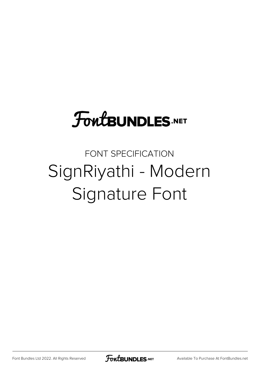# **FoutBUNDLES.NET**

## FONT SPECIFICATION SignRiyathi - Modern Signature Font

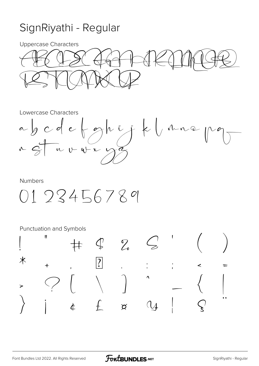### SignRiyathi - Regular

**Uppercase Characters** 



Lowercase Characters



#### **Numbers**

 $0123456789$ 

Punctuation and Symbols

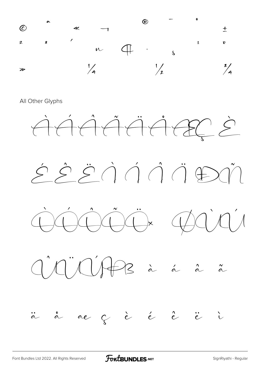

All Other Glyphs



FontBUNDLES.NET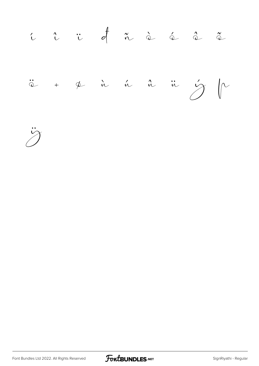

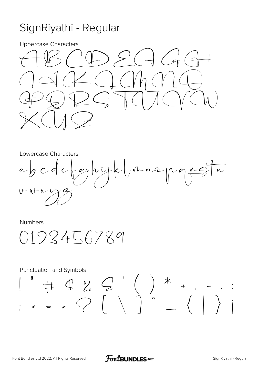### SignRiyathi - Regular

**Uppercase Characters** 



Lowercase Characters

 $e\sqrt{9}$ hijk (inne pg rg n  $\alpha$  g c d  $U - U + V$ 

**Numbers** 

0193456789

**Punctuation and Symbols**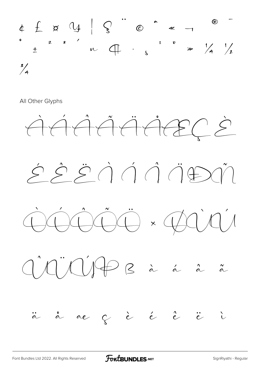

All Other Glyphs



**FOWLBUNDLES.NET**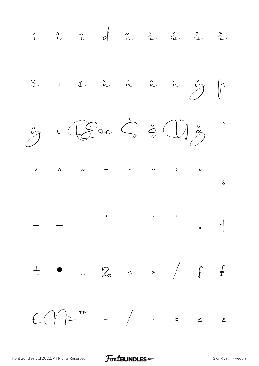